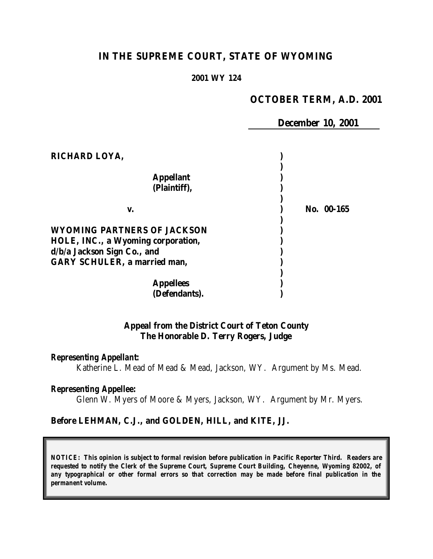# **IN THE SUPREME COURT, STATE OF WYOMING**

#### **2001 WY 124**

### **OCTOBER TERM, A.D. 2001**

 **December 10, 2001** 

| RICHARD LOYA,                                                                                           |            |
|---------------------------------------------------------------------------------------------------------|------------|
| <b>Appellant</b><br>(Plaintiff),                                                                        |            |
| v.                                                                                                      | No. 00-165 |
| <b>WYOMING PARTNERS OF JACKSON</b><br>HOLE, INC., a Wyoming corporation,<br>d/b/a Jackson Sign Co., and |            |
| <b>GARY SCHULER, a married man,</b>                                                                     |            |
| <b>Appellees</b><br>(Defendants).                                                                       |            |

### **Appeal from the District Court of Teton County The Honorable D. Terry Rogers, Judge**

#### *Representing Appellant:*

Katherine L. Mead of Mead & Mead, Jackson, WY. Argument by Ms. Mead.

#### *Representing Appellee:*

Glenn W. Myers of Moore & Myers, Jackson, WY. Argument by Mr. Myers.

#### **Before LEHMAN, C.J., and GOLDEN, HILL, and KITE, JJ.**

*NOTICE: This opinion is subject to formal revision before publication in Pacific Reporter Third. Readers are requested to notify the Clerk of the Supreme Court, Supreme Court Building, Cheyenne, Wyoming 82002, of any typographical or other formal errors so that correction may be made before final publication in the permanent volume.*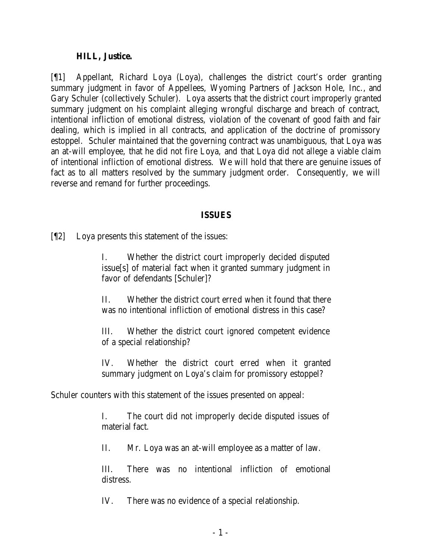#### **HILL, Justice.**

[¶1] Appellant, Richard Loya (Loya), challenges the district court's order granting summary judgment in favor of Appellees, Wyoming Partners of Jackson Hole, Inc., and Gary Schuler (collectively Schuler). Loya asserts that the district court improperly granted summary judgment on his complaint alleging wrongful discharge and breach of contract, intentional infliction of emotional distress, violation of the covenant of good faith and fair dealing, which is implied in all contracts, and application of the doctrine of promissory estoppel. Schuler maintained that the governing contract was unambiguous, that Loya was an at-will employee, that he did not fire Loya, and that Loya did not allege a viable claim of intentional infliction of emotional distress. We will hold that there are genuine issues of fact as to all matters resolved by the summary judgment order. Consequently, we will reverse and remand for further proceedings.

#### **ISSUES**

[¶2] Loya presents this statement of the issues:

I. Whether the district court improperly decided disputed issue[s] of material fact when it granted summary judgment in favor of defendants [Schuler]?

II. Whether the district court erred when it found that there was no intentional infliction of emotional distress in this case?

III. Whether the district court ignored competent evidence of a special relationship?

IV. Whether the district court erred when it granted summary judgment on Loya's claim for promissory estoppel?

Schuler counters with this statement of the issues presented on appeal:

I. The court did not improperly decide disputed issues of material fact.

II. Mr. Loya was an at-will employee as a matter of law.

III. There was no intentional infliction of emotional distress.

IV. There was no evidence of a special relationship.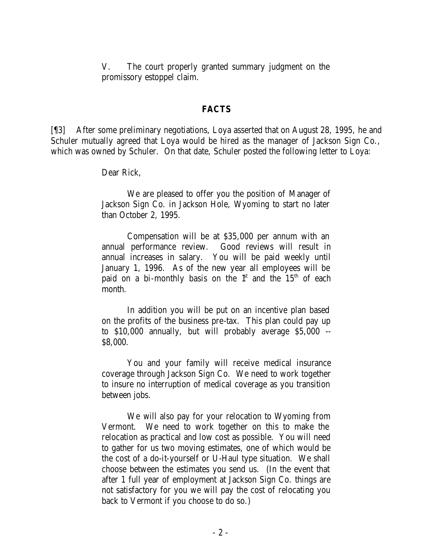V. The court properly granted summary judgment on the promissory estoppel claim.

#### **FACTS**

[¶3] After some preliminary negotiations, Loya asserted that on August 28, 1995, he and Schuler mutually agreed that Loya would be hired as the manager of Jackson Sign Co., which was owned by Schuler. On that date, Schuler posted the following letter to Loya:

Dear Rick,

We are pleased to offer you the position of Manager of Jackson Sign Co. in Jackson Hole, Wyoming to start no later than October 2, 1995.

Compensation will be at \$35,000 per annum with an annual performance review. Good reviews will result in annual increases in salary. You will be paid weekly until January 1, 1996. As of the new year all employees will be paid on a bi-monthly basis on the  $f<sup>st</sup>$  and the 15<sup>th</sup> of each month.

In addition you will be put on an incentive plan based on the profits of the business pre-tax. This plan could pay up to \$10,000 annually, but will probably average \$5,000 -- \$8,000.

You and your family will receive medical insurance coverage through Jackson Sign Co. We need to work together to insure no interruption of medical coverage as you transition between jobs.

We will also pay for your relocation to Wyoming from Vermont. We need to work together on this to make the relocation as practical and low cost as possible. You will need to gather for us two moving estimates, one of which would be the cost of a do-it-yourself or U-Haul type situation. We shall choose between the estimates you send us. (In the event that after 1 full year of employment at Jackson Sign Co. things are not satisfactory for you we will pay the cost of relocating you back to Vermont if you choose to do so.)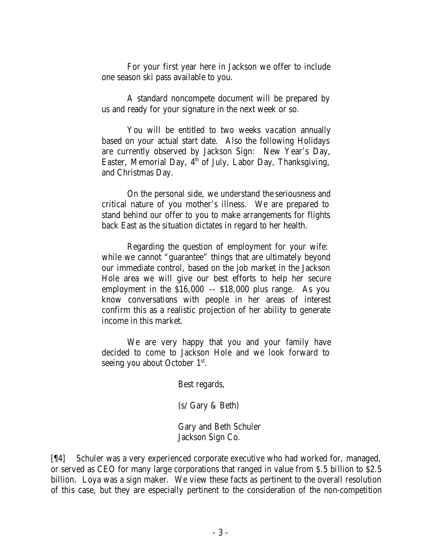For your first year here in Jackson we offer to include one season ski pass available to you.

A standard noncompete document will be prepared by us and ready for your signature in the next week or so.

You will be entitled to two weeks vacation annually based on your actual start date. Also the following Holidays are currently observed by Jackson Sign: New Year's Day, Easter, Memorial Day,  $4^{\text{th}}$  of July, Labor Day, Thanksgiving, and Christmas Day.

On the personal side, we understand the seriousness and critical nature of you mother's illness. We are prepared to stand behind our offer to you to make arrangements for flights back East as the situation dictates in regard to her health.

Regarding the question of employment for your wife: while we cannot "guarantee" things that are ultimately beyond our immediate control, based on the job market in the Jackson Hole area we will give our best efforts to help her secure employment in the \$16,000 -- \$18,000 plus range. As you know conversations with people in her areas of interest confirm this as a realistic projection of her ability to generate income in this market.

We are very happy that you and your family have decided to come to Jackson Hole and we look forward to seeing you about October  $1<sup>st</sup>$ .

Best regards,

(s/ Gary & Beth)

Gary and Beth Schuler Jackson Sign Co.

[¶4] Schuler was a very experienced corporate executive who had worked for, managed, or served as CEO for many large corporations that ranged in value from \$.5 billion to \$2.5 billion. Loya was a sign maker. We view these facts as pertinent to the overall resolution of this case, but they are especially pertinent to the consideration of the non-competition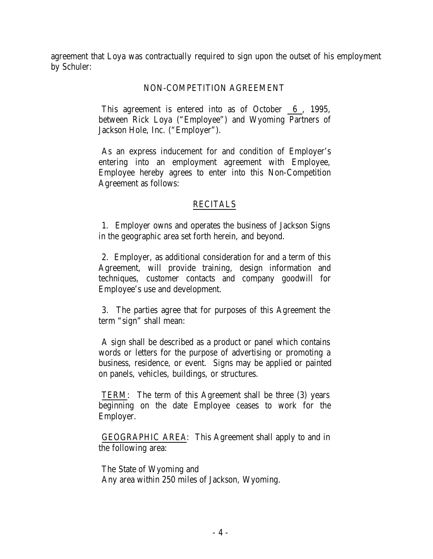agreement that Loya was contractually required to sign upon the outset of his employment by Schuler:

## NON-COMPETITION AGREEMENT

This agreement is entered into as of October 6 , 1995, between Rick Loya ("Employee") and Wyoming Partners of Jackson Hole, Inc. ("Employer").

As an express inducement for and condition of Employer's entering into an employment agreement with Employee, Employee hereby agrees to enter into this Non-Competition Agreement as follows:

## RECITALS

1. Employer owns and operates the business of Jackson Signs in the geographic area set forth herein, and beyond.

2. Employer, as additional consideration for and a term of this Agreement, will provide training, design information and techniques, customer contacts and company goodwill for Employee's use and development.

3. The parties agree that for purposes of this Agreement the term "sign" shall mean:

A sign shall be described as a product or panel which contains words or letters for the purpose of advertising or promoting a business, residence, or event. Signs may be applied or painted on panels, vehicles, buildings, or structures.

TERM: The term of this Agreement shall be three (3) years beginning on the date Employee ceases to work for the Employer.

GEOGRAPHIC AREA: This Agreement shall apply to and in the following area:

The State of Wyoming and Any area within 250 miles of Jackson, Wyoming.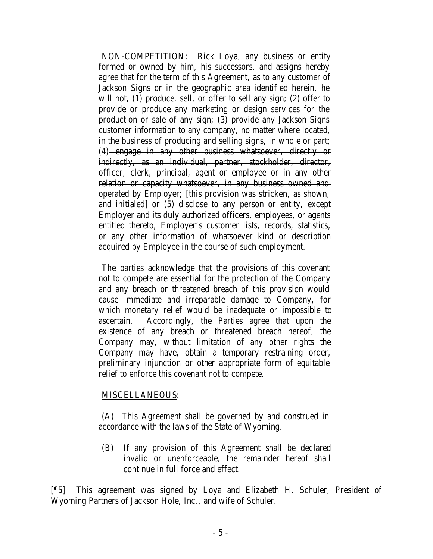NON-COMPETITION: Rick Loya, any business or entity formed or owned by him, his successors, and assigns hereby agree that for the term of this Agreement, as to any customer of Jackson Signs or in the geographic area identified herein, he will not, (1) produce, sell, or offer to sell any sign; (2) offer to provide or produce any marketing or design services for the production or sale of any sign; (3) provide any Jackson Signs customer information to any company, no matter where located, in the business of producing and selling signs, in whole or part; (4) engage in any other business whatsoever, directly or indirectly, as an individual, partner, stockholder, director, officer, clerk, principal, agent or employee or in any other relation or capacity whatsoever, in any business owned and operated by Employer; [this provision was stricken, as shown, and initialed] or (5) disclose to any person or entity, except Employer and its duly authorized officers, employees, or agents entitled thereto, Employer's customer lists, records, statistics, or any other information of whatsoever kind or description acquired by Employee in the course of such employment.

The parties acknowledge that the provisions of this covenant not to compete are essential for the protection of the Company and any breach or threatened breach of this provision would cause immediate and irreparable damage to Company, for which monetary relief would be inadequate or impossible to ascertain. Accordingly, the Parties agree that upon the existence of any breach or threatened breach hereof, the Company may, without limitation of any other rights the Company may have, obtain a temporary restraining order, preliminary injunction or other appropriate form of equitable relief to enforce this covenant not to compete.

#### MISCELLANEOUS:

(A) This Agreement shall be governed by and construed in accordance with the laws of the State of Wyoming.

(B) If any provision of this Agreement shall be declared invalid or unenforceable, the remainder hereof shall continue in full force and effect.

[¶5] This agreement was signed by Loya and Elizabeth H. Schuler, President of Wyoming Partners of Jackson Hole, Inc., and wife of Schuler.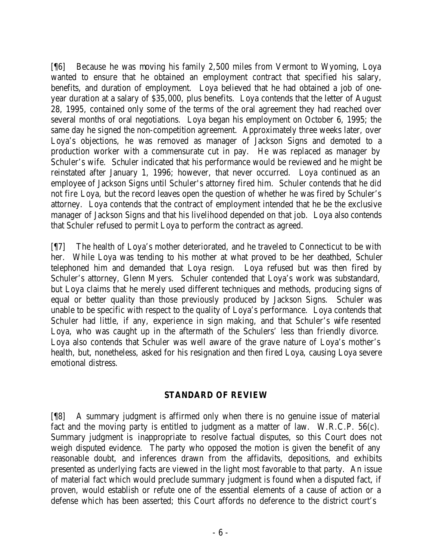[¶6] Because he was moving his family 2,500 miles from Vermont to Wyoming, Loya wanted to ensure that he obtained an employment contract that specified his salary, benefits, and duration of employment. Loya believed that he had obtained a job of oneyear duration at a salary of \$35,000, plus benefits. Loya contends that the letter of August 28, 1995, contained only some of the terms of the oral agreement they had reached over several months of oral negotiations. Loya began his employment on October 6, 1995; the same day he signed the non-competition agreement. Approximately three weeks later, over Loya's objections, he was removed as manager of Jackson Signs and demoted to a production worker with a commensurate cut in pay. He was replaced as manager by Schuler's wife. Schuler indicated that his performance would be reviewed and he might be reinstated after January 1, 1996; however, that never occurred. Loya continued as an employee of Jackson Signs until Schuler's attorney fired him. Schuler contends that he did not fire Loya, but the record leaves open the question of whether he was fired by Schuler's attorney. Loya contends that the contract of employment intended that he be the exclusive manager of Jackson Signs and that his livelihood depended on that job. Loya also contends that Schuler refused to permit Loya to perform the contract as agreed.

[¶7] The health of Loya's mother deteriorated, and he traveled to Connecticut to be with her. While Loya was tending to his mother at what proved to be her deathbed, Schuler telephoned him and demanded that Loya resign. Loya refused but was then fired by Schuler's attorney, Glenn Myers. Schuler contended that Loya's work was substandard, but Loya claims that he merely used different techniques and methods, producing signs of equal or better quality than those previously produced by Jackson Signs. Schuler was unable to be specific with respect to the quality of Loya's performance. Loya contends that Schuler had little, if any, experience in sign making, and that Schuler's wife resented Loya, who was caught up in the aftermath of the Schulers' less than friendly divorce. Loya also contends that Schuler was well aware of the grave nature of Loya's mother's health, but, nonetheless, asked for his resignation and then fired Loya, causing Loya severe emotional distress.

## **STANDARD OF REVIEW**

[¶8] A summary judgment is affirmed only when there is no genuine issue of material fact and the moving party is entitled to judgment as a matter of law. W.R.C.P. 56(c). Summary judgment is inappropriate to resolve factual disputes, so this Court does not weigh disputed evidence. The party who opposed the motion is given the benefit of any reasonable doubt, and inferences drawn from the affidavits, depositions, and exhibits presented as underlying facts are viewed in the light most favorable to that party. An issue of material fact which would preclude summary judgment is found when a disputed fact, if proven, would establish or refute one of the essential elements of a cause of action or a defense which has been asserted; this Court affords no deference to the district court's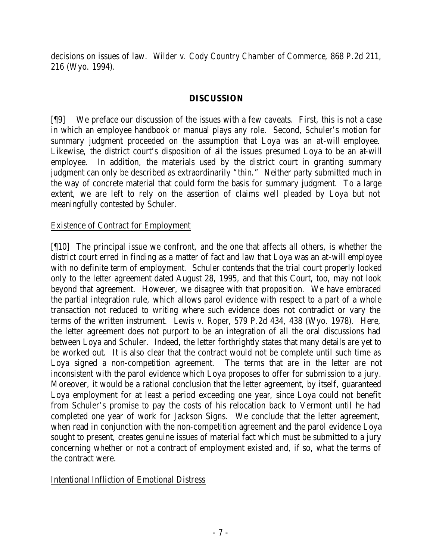decisions on issues of law. *Wilder v. Cody Country Chamber of Commerce*, 868 P.2d 211, 216 (Wyo. 1994).

## **DISCUSSION**

[¶9] We preface our discussion of the issues with a few caveats. First, this is not a case in which an employee handbook or manual plays any role. Second, Schuler's motion for summary judgment proceeded on the assumption that Loya was an at-will employee. Likewise, the district court's disposition of all the issues presumed Loya to be an at-will employee. In addition, the materials used by the district court in granting summary judgment can only be described as extraordinarily "thin." Neither party submitted much in the way of concrete material that could form the basis for summary judgment. To a large extent, we are left to rely on the assertion of claims well pleaded by Loya but not meaningfully contested by Schuler.

# Existence of Contract for Employment

[¶10] The principal issue we confront, and the one that affects all others, is whether the district court erred in finding as a matter of fact and law that Loya was an at-will employee with no definite term of employment. Schuler contends that the trial court properly looked only to the letter agreement dated August 28, 1995, and that this Court, too, may not look beyond that agreement. However, we disagree with that proposition. We have embraced the partial integration rule, which allows parol evidence with respect to a part of a whole transaction not reduced to writing where such evidence does not contradict or vary the terms of the written instrument. *Lewis v. Roper*, 579 P.2d 434, 438 (Wyo. 1978). Here, the letter agreement does not purport to be an integration of all the oral discussions had between Loya and Schuler. Indeed, the letter forthrightly states that many details are yet to be worked out. It is also clear that the contract would not be complete until such time as Loya signed a non-competition agreement. The terms that are in the letter are not inconsistent with the parol evidence which Loya proposes to offer for submission to a jury. Moreover, it would be a rational conclusion that the letter agreement, by itself, guaranteed Loya employment for at least a period exceeding one year, since Loya could not benefit from Schuler's promise to pay the costs of his relocation back to Vermont until he had completed one year of work for Jackson Signs. We conclude that the letter agreement, when read in conjunction with the non-competition agreement and the parol evidence Loya sought to present, creates genuine issues of material fact which must be submitted to a jury concerning whether or not a contract of employment existed and, if so, what the terms of the contract were.

## Intentional Infliction of Emotional Distress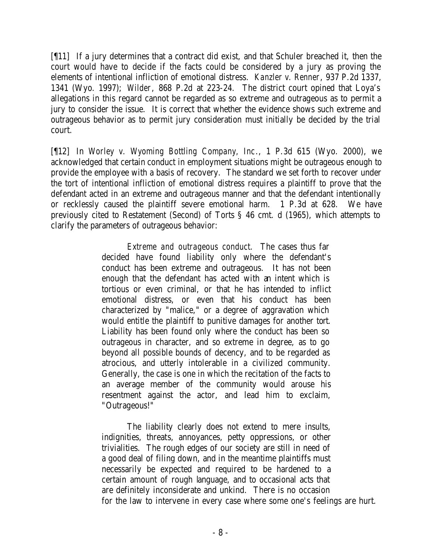[¶11] If a jury determines that a contract did exist, and that Schuler breached it, then the court would have to decide if the facts could be considered by a jury as proving the elements of intentional infliction of emotional distress. *Kanzler v. Renner*, 937 P.2d 1337, 1341 (Wyo. 1997); *Wilder*, 868 P.2d at 223-24. The district court opined that Loya's allegations in this regard cannot be regarded as so extreme and outrageous as to permit a jury to consider the issue. It is correct that whether the evidence shows such extreme and outrageous behavior as to permit jury consideration must initially be decided by the trial court.

[¶12] In *Worley v. Wyoming Bottling Company, Inc*., 1 P.3d 615 (Wyo. 2000), we acknowledged that certain conduct in employment situations might be outrageous enough to provide the employee with a basis of recovery. The standard we set forth to recover under the tort of intentional infliction of emotional distress requires a plaintiff to prove that the defendant acted in an extreme and outrageous manner and that the defendant intentionally or recklessly caused the plaintiff severe emotional harm. 1 P.3d at 628. We have previously cited to Restatement (Second) of Torts § 46 cmt. d (1965), which attempts to clarify the parameters of outrageous behavior:

> *Extreme and outrageous conduct*. The cases thus far decided have found liability only where the defendant's conduct has been extreme and outrageous. It has not been enough that the defendant has acted with an intent which is tortious or even criminal, or that he has intended to inflict emotional distress, or even that his conduct has been characterized by "malice," or a degree of aggravation which would entitle the plaintiff to punitive damages for another tort. Liability has been found only where the conduct has been so outrageous in character, and so extreme in degree, as to go beyond all possible bounds of decency, and to be regarded as atrocious, and utterly intolerable in a civilized community. Generally, the case is one in which the recitation of the facts to an average member of the community would arouse his resentment against the actor, and lead him to exclaim, "Outrageous!"

The liability clearly does not extend to mere insults, indignities, threats, annoyances, petty oppressions, or other trivialities. The rough edges of our society are still in need of a good deal of filing down, and in the meantime plaintiffs must necessarily be expected and required to be hardened to a certain amount of rough language, and to occasional acts that are definitely inconsiderate and unkind. There is no occasion for the law to intervene in every case where some one's feelings are hurt.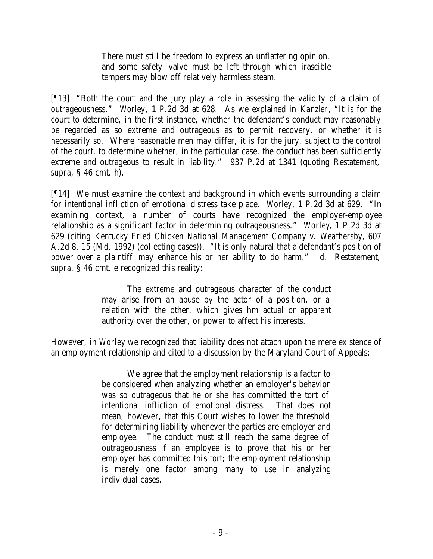There must still be freedom to express an unflattering opinion, and some safety valve must be left through which irascible tempers may blow off relatively harmless steam.

[¶13] "Both the court and the jury play a role in assessing the validity of a claim of outrageousness." *Worley*, 1 P.2d 3d at 628. As we explained in *Kanzler*, "It is for the court to determine, in the first instance, whether the defendant's conduct may reasonably be regarded as so extreme and outrageous as to permit recovery, or whether it is necessarily so. Where reasonable men may differ, it is for the jury, subject to the control of the court, to determine whether, in the particular case, the conduct has been sufficiently extreme and outrageous to result in liability." 937 P.2d at 1341 (quoting Restatement, *supra*, § 46 cmt. h).

[¶14] We must examine the context and background in which events surrounding a claim for intentional infliction of emotional distress take place. *Worley*, 1 P.2d 3d at 629. "In examining context, a number of courts have recognized the employer-employee relationship as a significant factor in determining outrageousness." *Worley*, 1 P.2d 3d at 629 (citing *Kentucky Fried Chicken National Management Company v. Weathersby*, 607 A.2d 8, 15 (Md. 1992) (collecting cases)). "It is only natural that a defendant's position of power over a plaintiff may enhance his or her ability to do harm." *Id.* Restatement, *supra*, § 46 cmt. e recognized this reality:

> The extreme and outrageous character of the conduct may arise from an abuse by the actor of a position, or a relation with the other, which gives him actual or apparent authority over the other, or power to affect his interests.

However, in *Worley* we recognized that liability does not attach upon the mere existence of an employment relationship and cited to a discussion by the Maryland Court of Appeals:

> We agree that the employment relationship is a factor to be considered when analyzing whether an employer's behavior was so outrageous that he or she has committed the tort of intentional infliction of emotional distress. That does not mean, however, that this Court wishes to lower the threshold for determining liability whenever the parties are employer and employee. The conduct must still reach the same degree of outrageousness if an employee is to prove that his or her employer has committed this tort; the employment relationship is merely one factor among many to use in analyzing individual cases.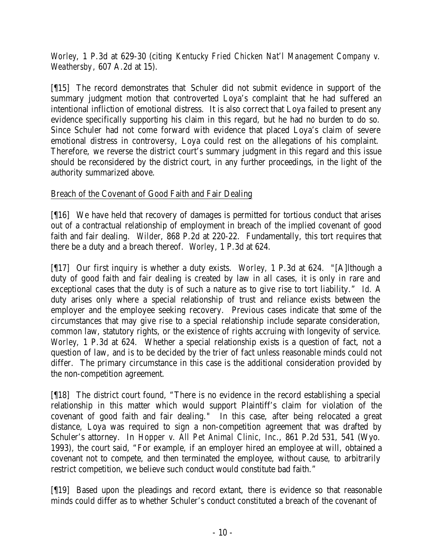*Worley*, 1 P.3d at 629-30 (citing *Kentucky Fried Chicken Nat'l Management Company v. Weathersby*, 607 A.2d at 15).

[¶15] The record demonstrates that Schuler did not submit evidence in support of the summary judgment motion that controverted Loya's complaint that he had suffered an intentional infliction of emotional distress. It is also correct that Loya failed to present any evidence specifically supporting his claim in this regard, but he had no burden to do so. Since Schuler had not come forward with evidence that placed Loya's claim of severe emotional distress in controversy, Loya could rest on the allegations of his complaint. Therefore, we reverse the district court's summary judgment in this regard and this issue should be reconsidered by the district court, in any further proceedings, in the light of the authority summarized above.

# Breach of the Covenant of Good Faith and Fair Dealing

[¶16] We have held that recovery of damages is permitted for tortious conduct that arises out of a contractual relationship of employment in breach of the implied covenant of good faith and fair dealing. *Wilder*, 868 P.2d at 220-22. Fundamentally, this tort requires that there be a duty and a breach thereof. *Worley*, 1 P.3d at 624.

[¶17] Our first inquiry is whether a duty exists. *Worley,* 1 P.3d at 624. "[A]lthough a duty of good faith and fair dealing is created by law in all cases, it is only in rare and exceptional cases that the duty is of such a nature as to give rise to tort liability." *Id.* A duty arises only where a special relationship of trust and reliance exists between the employer and the employee seeking recovery. Previous cases indicate that some of the circumstances that may give rise to a special relationship include separate consideration, common law, statutory rights, or the existence of rights accruing with longevity of service. *Worley,* 1 P.3d at 624. Whether a special relationship exists is a question of fact, not a question of law, and is to be decided by the trier of fact unless reasonable minds could not differ. The primary circumstance in this case is the additional consideration provided by the non-competition agreement.

[¶18] The district court found, "There is no evidence in the record establishing a special relationship in this matter which would support Plaintiff's claim for violation of the covenant of good faith and fair dealing." In this case, after being relocated a great distance, Loya was required to sign a non-competition agreement that was drafted by Schuler's attorney. In *Hopper v. All Pet Animal Clinic, Inc*., 861 P.2d 531, 541 (Wyo. 1993), the court said, "For example, if an employer hired an employee at will, obtained a covenant not to compete, and then terminated the employee, without cause, to arbitrarily restrict competition, we believe such conduct would constitute bad faith."

[¶19] Based upon the pleadings and record extant, there is evidence so that reasonable minds could differ as to whether Schuler's conduct constituted a breach of the covenant of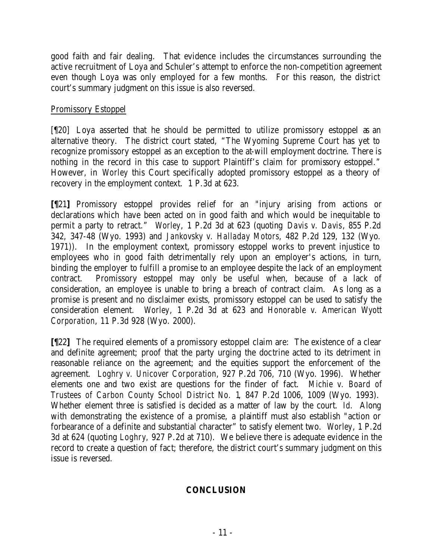good faith and fair dealing. That evidence includes the circumstances surrounding the active recruitment of Loya and Schuler's attempt to enforce the non-competition agreement even though Loya was only employed for a few months. For this reason, the district court's summary judgment on this issue is also reversed.

## Promissory Estoppel

[¶20] Loya asserted that he should be permitted to utilize promissory estoppel as an alternative theory. The district court stated, "The Wyoming Supreme Court has yet to recognize promissory estoppel as an exception to the at-will employment doctrine. There is nothing in the record in this case to support Plaintiff's claim for promissory estoppel." However, in *Worley* this Court specifically adopted promissory estoppel as a theory of recovery in the employment context. 1 P.3d at 623.

**[¶**21**]** Promissory estoppel provides relief for an "injury arising from actions or declarations which have been acted on in good faith and which would be inequitable to permit a party to retract." *Worley*, 1 P.2d 3d at 623 (quoting *Davis v. Davis*, 855 P.2d 342, 347-48 (Wyo. 1993) and *Jankovsky v. Halladay Motors,* 482 P.2d 129, 132 (Wyo. 1971)). In the employment context, promissory estoppel works to prevent injustice to employees who in good faith detrimentally rely upon an employer's actions, in turn, binding the employer to fulfill a promise to an employee despite the lack of an employment contract. Promissory estoppel may only be useful when, because of a lack of consideration, an employee is unable to bring a breach of contract claim. As long as a promise is present and no disclaimer exists, promissory estoppel can be used to satisfy the consideration element. *Worley*, 1 P.2d 3d at 623 and *Honorable v. American Wyott Corporation*, 11 P.3d 928 (Wyo. 2000).

**[¶**22**]** The required elements of a promissory estoppel claim are: The existence of a clear and definite agreement; proof that the party urging the doctrine acted to its detriment in reasonable reliance on the agreement; and the equities support the enforcement of the agreement. *Loghry v. Unicover Corporation*, 927 P.2d 706, 710 (Wyo. 1996). Whether elements one and two exist are questions for the finder of fact. *Michie v. Board of Trustees of Carbon County School District No. 1*, 847 P.2d 1006, 1009 (Wyo. 1993). Whether element three is satisfied is decided as a matter of law by the court. *Id.* Along with demonstrating the existence of a promise, a plaintiff must also establish "action or forbearance of a definite and substantial character" to satisfy element two. *Worley*, 1 P.2d 3d at 624 (quoting *Loghry,* 927 P.2d at 710). We believe there is adequate evidence in the record to create a question of fact; therefore, the district court's summary judgment on this issue is reversed.

# **CONCLUSION**